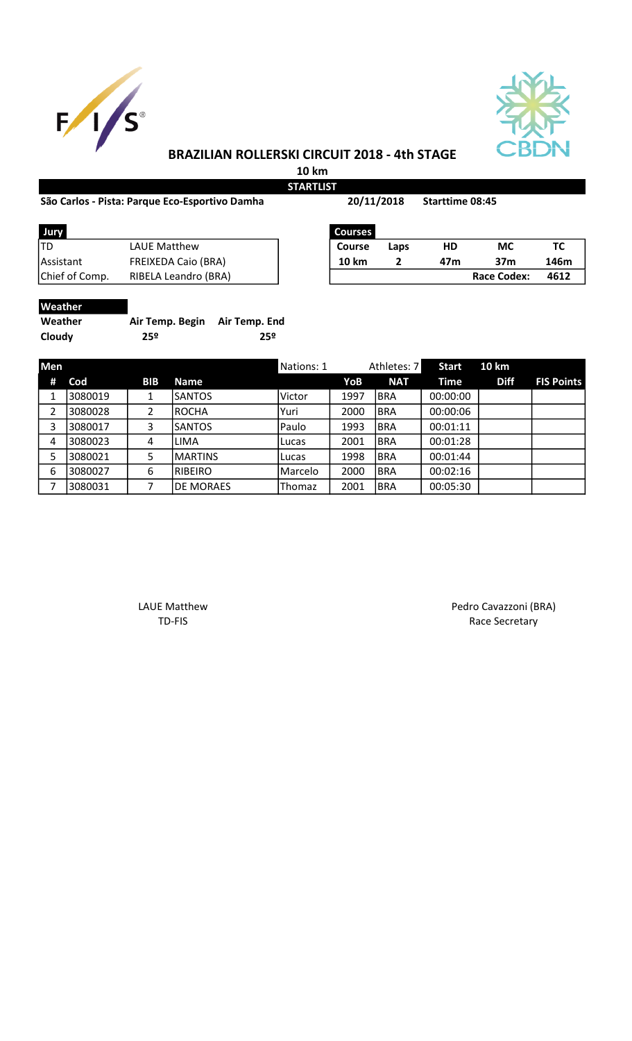



## BRAZILIAN ROLLERSKI CIRCUIT 2018 - 4th STAGE

10 km **STARTLIST** 

## São Carlos - Pista: Parque Eco-Esportivo Damha Starttime 08:45

20/11/2018

| Jury           | <b>Courses</b>             |               |      |     |             |      |
|----------------|----------------------------|---------------|------|-----|-------------|------|
| 'TD            | LAUE Matthew               | <b>Course</b> | Laps | HD  | МC          | тс   |
| Assistant      | <b>FREIXEDA Caio (BRA)</b> | 10 km         |      | 47m | 37m         | 146r |
| Chief of Comp. | RIBELA Leandro (BRA)       |               |      |     | Race Codex: | 461  |

| Jury           |                            | <b>Courses</b> |      |     |                    |      |
|----------------|----------------------------|----------------|------|-----|--------------------|------|
| TD             | LAUE Matthew               | <b>Course</b>  | Laps | HD  | МC                 | ТC   |
| Assistant      | <b>FREIXEDA Caio (BRA)</b> | 10 km          |      | 47m | 37m                | 146m |
| Chief of Comp. | RIBELA Leandro (BRA)       |                |      |     | <b>Race Codex:</b> | 4612 |

| ۲. | ш |
|----|---|
|    |   |

| Weather | Air Temp. Begin | Air Temp. End |
|---------|-----------------|---------------|
| Cloudy  | 25º             | 25º           |

| <b>Men</b> |         |            |                  | Nations: 1 |      | Athletes: 7 | <b>Start</b> | 10 km       |                   |
|------------|---------|------------|------------------|------------|------|-------------|--------------|-------------|-------------------|
| #          | Cod     | <b>BIB</b> | <b>Name</b>      |            | YoB  | <b>NAT</b>  | Time         | <b>Diff</b> | <b>FIS Points</b> |
|            | 3080019 |            | <b>SANTOS</b>    | Victor     | 1997 | <b>BRA</b>  | 00:00:00     |             |                   |
| 2          | 3080028 |            | <b>ROCHA</b>     | Yuri       | 2000 | <b>BRA</b>  | 00:00:06     |             |                   |
| 3          | 3080017 | 3          | <b>SANTOS</b>    | Paulo      | 1993 | <b>BRA</b>  | 00:01:11     |             |                   |
| 4          | 3080023 | 4          | LIMA             | Lucas      | 2001 | <b>BRA</b>  | 00:01:28     |             |                   |
| 5          | 3080021 | 5          | <b>MARTINS</b>   | Lucas      | 1998 | <b>BRA</b>  | 00:01:44     |             |                   |
| 6          | 3080027 | 6          | <b>RIBEIRO</b>   | Marcelo    | 2000 | <b>BRA</b>  | 00:02:16     |             |                   |
| 7          | 3080031 |            | <b>DE MORAES</b> | Thomaz     | 2001 | <b>BRA</b>  | 00:05:30     |             |                   |

LAUE Matthew Pedro Cavazzoni (BRA) TD-FIS Race Secretary